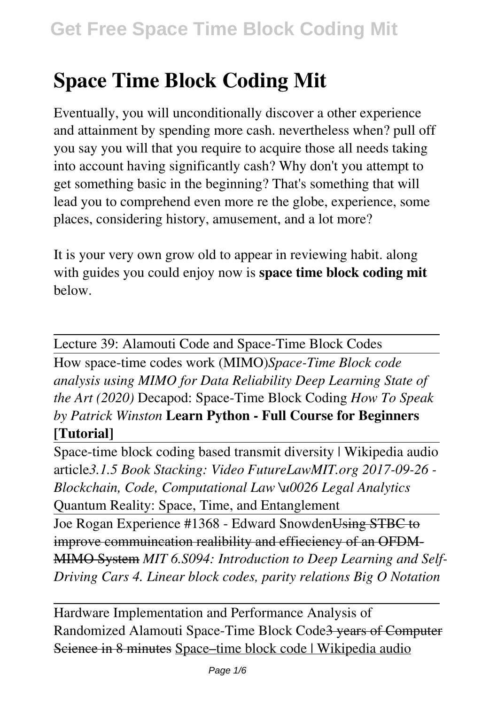# **Space Time Block Coding Mit**

Eventually, you will unconditionally discover a other experience and attainment by spending more cash. nevertheless when? pull off you say you will that you require to acquire those all needs taking into account having significantly cash? Why don't you attempt to get something basic in the beginning? That's something that will lead you to comprehend even more re the globe, experience, some places, considering history, amusement, and a lot more?

It is your very own grow old to appear in reviewing habit. along with guides you could enjoy now is **space time block coding mit** below.

Lecture 39: Alamouti Code and Space-Time Block Codes How space-time codes work (MIMO)*Space-Time Block code analysis using MIMO for Data Reliability Deep Learning State of the Art (2020)* Decapod: Space-Time Block Coding *How To Speak by Patrick Winston* **Learn Python - Full Course for Beginners [Tutorial]**

Space-time block coding based transmit diversity | Wikipedia audio article*3.1.5 Book Stacking: Video FutureLawMIT.org 2017-09-26 - Blockchain, Code, Computational Law \u0026 Legal Analytics* Quantum Reality: Space, Time, and Entanglement

Joe Rogan Experience #1368 - Edward Snowden Using STBC to improve commuincation realibility and effieciency of an OFDM-MIMO System *MIT 6.S094: Introduction to Deep Learning and Self-Driving Cars 4. Linear block codes, parity relations Big O Notation*

Hardware Implementation and Performance Analysis of Randomized Alamouti Space-Time Block Code3 years of Computer Science in 8 minutes Space–time block code | Wikipedia audio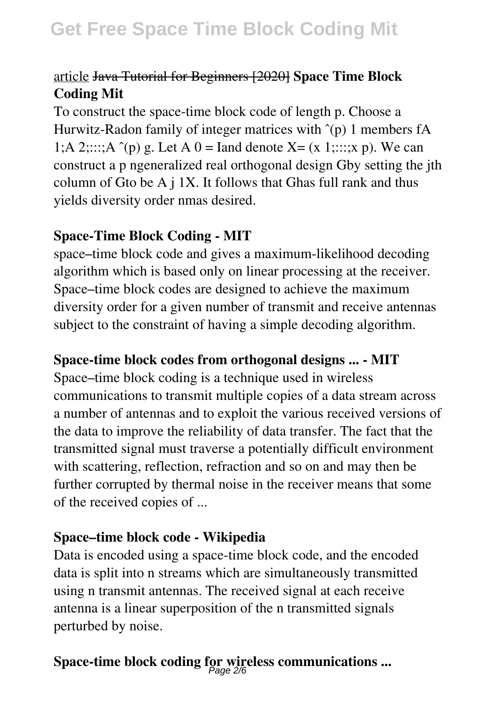## article Java Tutorial for Beginners [2020] **Space Time Block Coding Mit**

To construct the space-time block code of length p. Choose a Hurwitz-Radon family of integer matrices with  $\hat{p}$  1 members fA 1;A 2;:::;A  $\hat{p}$  g. Let A 0 = Iand denote X = (x 1;:::;x p). We can construct a p ngeneralized real orthogonal design Gby setting the jth column of Gto be A j 1X. It follows that Ghas full rank and thus yields diversity order nmas desired.

#### **Space-Time Block Coding - MIT**

space–time block code and gives a maximum-likelihood decoding algorithm which is based only on linear processing at the receiver. Space–time block codes are designed to achieve the maximum diversity order for a given number of transmit and receive antennas subject to the constraint of having a simple decoding algorithm.

## **Space-time block codes from orthogonal designs ... - MIT**

Space–time block coding is a technique used in wireless communications to transmit multiple copies of a data stream across a number of antennas and to exploit the various received versions of the data to improve the reliability of data transfer. The fact that the transmitted signal must traverse a potentially difficult environment with scattering, reflection, refraction and so on and may then be further corrupted by thermal noise in the receiver means that some of the received copies of ...

#### **Space–time block code - Wikipedia**

Data is encoded using a space-time block code, and the encoded data is split into n streams which are simultaneously transmitted using n transmit antennas. The received signal at each receive antenna is a linear superposition of the n transmitted signals perturbed by noise.

## **Space-time block coding for wireless communications ...** Page 2/6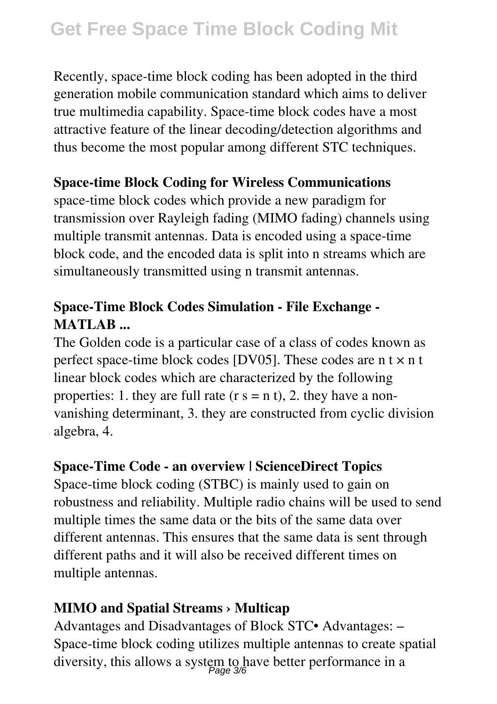## **Get Free Space Time Block Coding Mit**

Recently, space-time block coding has been adopted in the third generation mobile communication standard which aims to deliver true multimedia capability. Space-time block codes have a most attractive feature of the linear decoding/detection algorithms and thus become the most popular among different STC techniques.

## **Space-time Block Coding for Wireless Communications**

space-time block codes which provide a new paradigm for transmission over Rayleigh fading (MIMO fading) channels using multiple transmit antennas. Data is encoded using a space-time block code, and the encoded data is split into n streams which are simultaneously transmitted using n transmit antennas.

## **Space-Time Block Codes Simulation - File Exchange - MATLAB ...**

The Golden code is a particular case of a class of codes known as perfect space-time block codes [DV05]. These codes are  $n \times n$  t linear block codes which are characterized by the following properties: 1. they are full rate  $(r s = n t)$ , 2. they have a nonvanishing determinant, 3. they are constructed from cyclic division algebra, 4.

## **Space-Time Code - an overview | ScienceDirect Topics**

Space-time block coding (STBC) is mainly used to gain on robustness and reliability. Multiple radio chains will be used to send multiple times the same data or the bits of the same data over different antennas. This ensures that the same data is sent through different paths and it will also be received different times on multiple antennas.

## **MIMO and Spatial Streams › Multicap**

Advantages and Disadvantages of Block STC• Advantages: – Space-time block coding utilizes multiple antennas to create spatial diversity, this allows a system to have better performance in a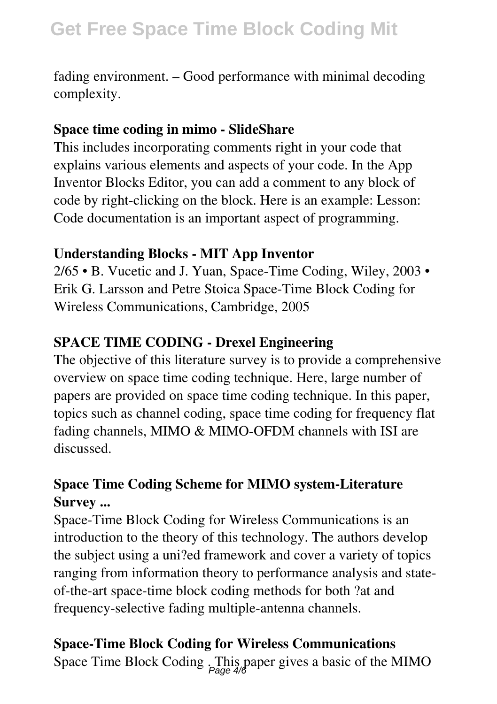fading environment. – Good performance with minimal decoding complexity.

#### **Space time coding in mimo - SlideShare**

This includes incorporating comments right in your code that explains various elements and aspects of your code. In the App Inventor Blocks Editor, you can add a comment to any block of code by right-clicking on the block. Here is an example: Lesson: Code documentation is an important aspect of programming.

## **Understanding Blocks - MIT App Inventor**

2/65 • B. Vucetic and J. Yuan, Space-Time Coding, Wiley, 2003 • Erik G. Larsson and Petre Stoica Space-Time Block Coding for Wireless Communications, Cambridge, 2005

## **SPACE TIME CODING - Drexel Engineering**

The objective of this literature survey is to provide a comprehensive overview on space time coding technique. Here, large number of papers are provided on space time coding technique. In this paper, topics such as channel coding, space time coding for frequency flat fading channels, MIMO & MIMO-OFDM channels with ISI are discussed.

## **Space Time Coding Scheme for MIMO system-Literature Survey ...**

Space-Time Block Coding for Wireless Communications is an introduction to the theory of this technology. The authors develop the subject using a uni?ed framework and cover a variety of topics ranging from information theory to performance analysis and stateof-the-art space-time block coding methods for both ?at and frequency-selective fading multiple-antenna channels.

## **Space-Time Block Coding for Wireless Communications**

Space Time Block Coding . This paper gives a basic of the MIMO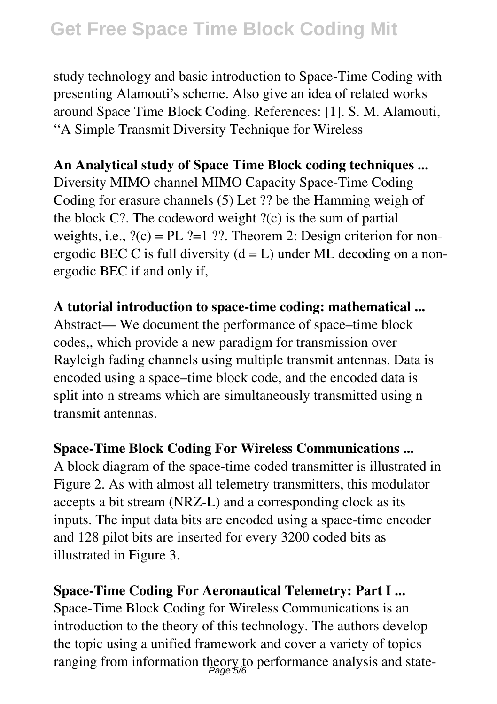## **Get Free Space Time Block Coding Mit**

study technology and basic introduction to Space-Time Coding with presenting Alamouti's scheme. Also give an idea of related works around Space Time Block Coding. References: [1]. S. M. Alamouti, ''A Simple Transmit Diversity Technique for Wireless

## **An Analytical study of Space Time Block coding techniques ...**

Diversity MIMO channel MIMO Capacity Space-Time Coding Coding for erasure channels (5) Let ?? be the Hamming weigh of the block  $C$ ?. The codeword weight  $?(c)$  is the sum of partial weights, i.e.,  $?(c) = PL$  ?=1 ??. Theorem 2: Design criterion for nonergodic BEC C is full diversity  $(d = L)$  under ML decoding on a nonergodic BEC if and only if,

#### **A tutorial introduction to space-time coding: mathematical ...**

Abstract— We document the performance of space–time block codes,, which provide a new paradigm for transmission over Rayleigh fading channels using multiple transmit antennas. Data is encoded using a space–time block code, and the encoded data is split into n streams which are simultaneously transmitted using n transmit antennas.

#### **Space-Time Block Coding For Wireless Communications ...**

A block diagram of the space-time coded transmitter is illustrated in Figure 2. As with almost all telemetry transmitters, this modulator accepts a bit stream (NRZ-L) and a corresponding clock as its inputs. The input data bits are encoded using a space-time encoder and 128 pilot bits are inserted for every 3200 coded bits as illustrated in Figure 3.

## **Space-Time Coding For Aeronautical Telemetry: Part I ...** Space-Time Block Coding for Wireless Communications is an introduction to the theory of this technology. The authors develop the topic using a unified framework and cover a variety of topics ranging from information theory to performance analysis and state-